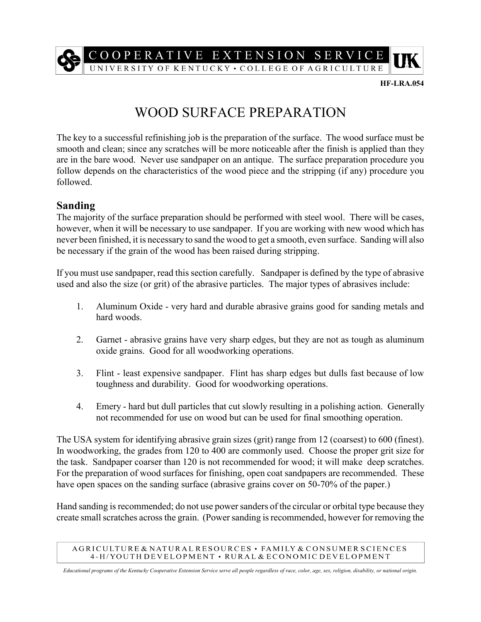

**HF-LRA.054**

## WOOD SURFACE PREPARATION

The key to a successful refinishing job is the preparation of the surface. The wood surface must be smooth and clean; since any scratches will be more noticeable after the finish is applied than they are in the bare wood. Never use sandpaper on an antique. The surface preparation procedure you follow depends on the characteristics of the wood piece and the stripping (if any) procedure you followed.

## **Sanding**

The majority of the surface preparation should be performed with steel wool. There will be cases, however, when it will be necessary to use sandpaper. If you are working with new wood which has never been finished, it is necessary to sand the wood to get a smooth, even surface. Sanding will also be necessary if the grain of the wood has been raised during stripping.

If you must use sandpaper, read this section carefully. Sandpaper is defined by the type of abrasive used and also the size (or grit) of the abrasive particles. The major types of abrasives include:

- 1. Aluminum Oxide very hard and durable abrasive grains good for sanding metals and hard woods.
- 2. Garnet abrasive grains have very sharp edges, but they are not as tough as aluminum oxide grains. Good for all woodworking operations.
- 3. Flint least expensive sandpaper. Flint has sharp edges but dulls fast because of low toughness and durability. Good for woodworking operations.
- 4. Emery hard but dull particles that cut slowly resulting in a polishing action. Generally not recommended for use on wood but can be used for final smoothing operation.

The USA system for identifying abrasive grain sizes (grit) range from 12 (coarsest) to 600 (finest). In woodworking, the grades from 120 to 400 are commonly used. Choose the proper grit size for the task. Sandpaper coarser than 120 is not recommended for wood; it will make deep scratches. For the preparation of wood surfaces for finishing, open coat sandpapers are recommended. These have open spaces on the sanding surface (abrasive grains cover on 50-70% of the paper.)

Hand sanding is recommended; do not use power sanders of the circular or orbital type because they create small scratches across the grain. (Power sanding is recommended, however for removing the

AGRICULTURE & NATURAL RESOURCES · FAMILY & CONSUMER SCIENCES 4-H/YOUTH DEVELOPMENT . RURAL & ECONOMIC DEVELOPMENT

*Educational programs of the Kentucky Cooperative Extension Service serve all people regardless of race, color, age, sex, religion, disability, or national origin.*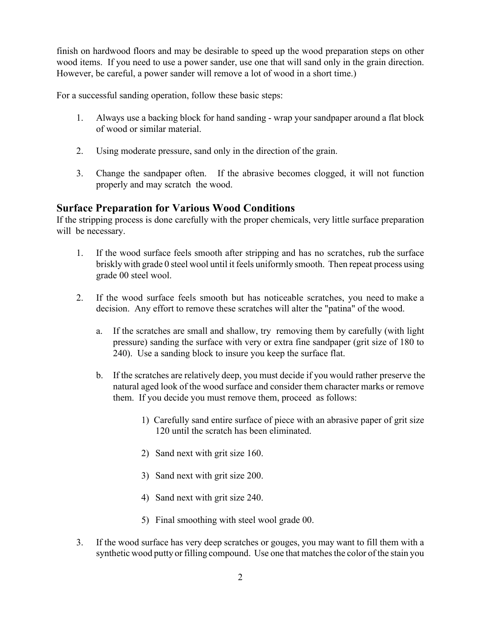finish on hardwood floors and may be desirable to speed up the wood preparation steps on other wood items. If you need to use a power sander, use one that will sand only in the grain direction. However, be careful, a power sander will remove a lot of wood in a short time.)

For a successful sanding operation, follow these basic steps:

- 1. Always use a backing block for hand sanding wrap your sandpaper around a flat block of wood or similar material.
- 2. Using moderate pressure, sand only in the direction of the grain.
- 3. Change the sandpaper often. If the abrasive becomes clogged, it will not function properly and may scratch the wood.

## **Surface Preparation for Various Wood Conditions**

If the stripping process is done carefully with the proper chemicals, very little surface preparation will be necessary.

- 1. If the wood surface feels smooth after stripping and has no scratches, rub the surface briskly with grade 0 steel wool until it feels uniformly smooth. Then repeat process using grade 00 steel wool.
- 2. If the wood surface feels smooth but has noticeable scratches, you need to make a decision. Any effort to remove these scratches will alter the "patina" of the wood.
	- a. If the scratches are small and shallow, try removing them by carefully (with light pressure) sanding the surface with very or extra fine sandpaper (grit size of 180 to 240). Use a sanding block to insure you keep the surface flat.
	- b. If the scratches are relatively deep, you must decide if you would rather preserve the natural aged look of the wood surface and consider them character marks or remove them. If you decide you must remove them, proceed as follows:
		- 1) Carefully sand entire surface of piece with an abrasive paper of grit size 120 until the scratch has been eliminated.
		- 2) Sand next with grit size 160.
		- 3) Sand next with grit size 200.
		- 4) Sand next with grit size 240.
		- 5) Final smoothing with steel wool grade 00.
- 3. If the wood surface has very deep scratches or gouges, you may want to fill them with a synthetic wood putty or filling compound. Use one that matches the color of the stain you